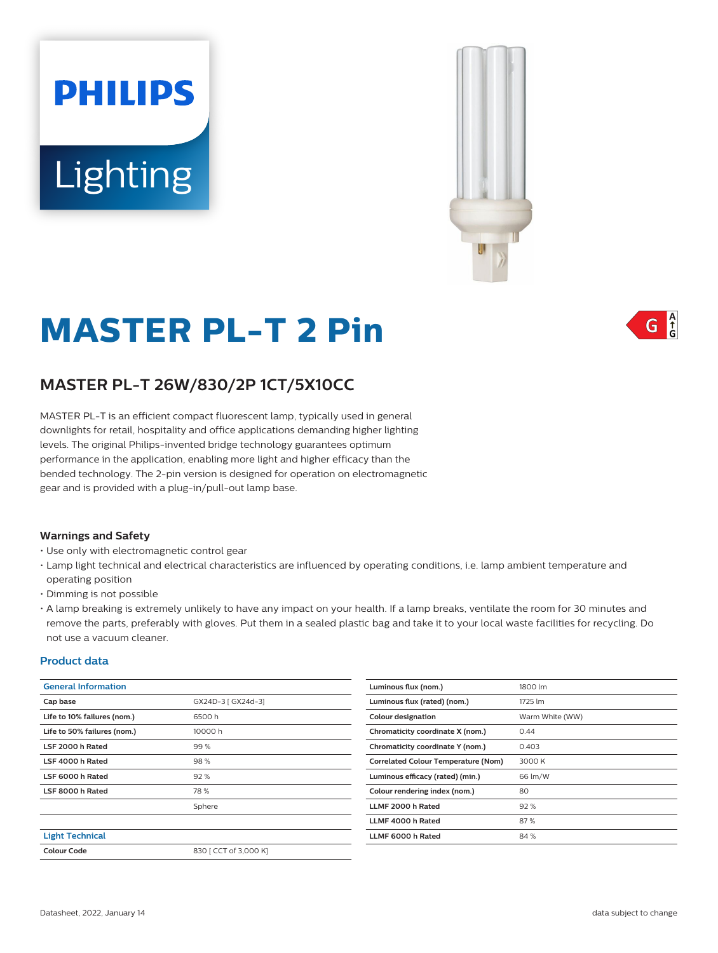# **PHILIPS Lighting**



# **MASTER PL-T 2 Pin**



# **MASTER PL-T 26W/830/2P 1CT/5X10CC**

MASTER PL-T is an efficient compact fluorescent lamp, typically used in general downlights for retail, hospitality and office applications demanding higher lighting levels. The original Philips-invented bridge technology guarantees optimum performance in the application, enabling more light and higher efficacy than the bended technology. The 2-pin version is designed for operation on electromagnetic gear and is provided with a plug-in/pull-out lamp base.

#### **Warnings and Safety**

- Use only with electromagnetic control gear
- Lamp light technical and electrical characteristics are influenced by operating conditions, i.e. lamp ambient temperature and operating position
- Dimming is not possible
- A lamp breaking is extremely unlikely to have any impact on your health. If a lamp breaks, ventilate the room for 30 minutes and remove the parts, preferably with gloves. Put them in a sealed plastic bag and take it to your local waste facilities for recycling. Do not use a vacuum cleaner.

#### **Product data**

| <b>General Information</b>  |                       | Luminous flux (nom.)                       | 1800 lm         |
|-----------------------------|-----------------------|--------------------------------------------|-----------------|
| Cap base                    | GX24D-3 [ GX24d-3]    | Luminous flux (rated) (nom.)               | 1725 lm         |
| Life to 10% failures (nom.) | 6500h                 | <b>Colour designation</b>                  | Warm White (WW) |
| Life to 50% failures (nom.) | 10000h                | Chromaticity coordinate X (nom.)           | 0.44            |
| LSF 2000 h Rated            | 99%                   | Chromaticity coordinate Y (nom.)           | 0.403           |
| LSF 4000 h Rated            | 98%                   | <b>Correlated Colour Temperature (Nom)</b> | 3000 K          |
| LSF 6000 h Rated            | 92%                   | Luminous efficacy (rated) (min.)           | 66 lm/W         |
| LSF 8000 h Rated            | 78%                   | Colour rendering index (nom.)              | 80              |
|                             | Sphere                | LLMF 2000 h Rated                          | 92%             |
|                             |                       | LLMF 4000 h Rated                          | 87%             |
| <b>Light Technical</b>      |                       | LLMF 6000 h Rated                          | 84%             |
| <b>Colour Code</b>          | 830 [ CCT of 3,000 K] |                                            |                 |
|                             |                       |                                            |                 |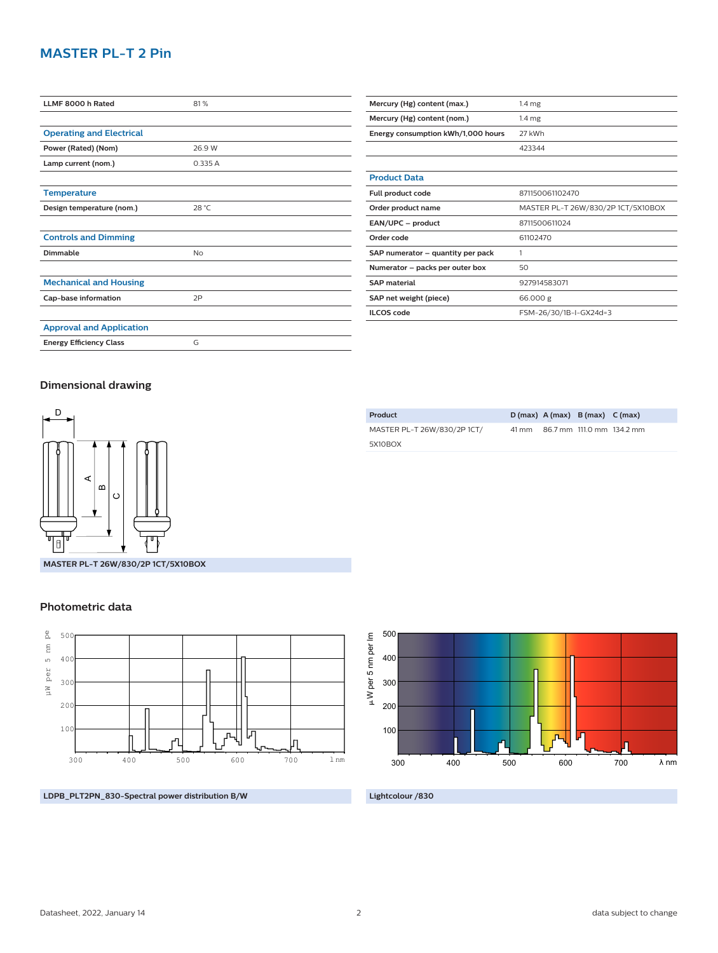# **MASTER PL-T 2 Pin**

| LLMF 8000 h Rated               | 81%    |
|---------------------------------|--------|
|                                 |        |
| <b>Operating and Electrical</b> |        |
| Power (Rated) (Nom)             | 26.9 W |
| Lamp current (nom.)             | 0.335A |
|                                 |        |
| <b>Temperature</b>              |        |
| Design temperature (nom.)       | 28 °C  |
|                                 |        |
| <b>Controls and Dimming</b>     |        |
| Dimmable                        | No     |
|                                 |        |
| <b>Mechanical and Housing</b>   |        |
| Cap-base information            | 2P     |
|                                 |        |
| <b>Approval and Application</b> |        |
| <b>Energy Efficiency Class</b>  | G      |

| Mercury (Hg) content (max.)        | 1.4 <sub>mg</sub>                  |  |  |
|------------------------------------|------------------------------------|--|--|
| Mercury (Hg) content (nom.)        | $1.4 \mathrm{mg}$                  |  |  |
| Energy consumption kWh/1,000 hours | 27 kWh                             |  |  |
|                                    | 423344                             |  |  |
|                                    |                                    |  |  |
| <b>Product Data</b>                |                                    |  |  |
| Full product code                  | 871150061102470                    |  |  |
| Order product name                 | MASTER PL-T 26W/830/2P 1CT/5X10BOX |  |  |
| EAN/UPC - product                  | 8711500611024                      |  |  |
| Order code                         | 61102470                           |  |  |
| SAP numerator – quantity per pack  | 1                                  |  |  |
| Numerator - packs per outer box    | 50                                 |  |  |
| <b>SAP material</b>                | 927914583071                       |  |  |
| SAP net weight (piece)             | 66.000 g                           |  |  |
| <b>ILCOS</b> code                  | FSM-26/30/1B-I-GX24d=3             |  |  |

### **Dimensional drawing**



| MASTER PL-T 26W/830/2P 1CT/<br>86.7 mm 111.0 mm 134.2 mr<br>41 mm<br>5X10BOX | Product |  | $D(max)$ A (max) B (max) C (max) |  |
|------------------------------------------------------------------------------|---------|--|----------------------------------|--|
|                                                                              |         |  |                                  |  |
|                                                                              |         |  |                                  |  |

## 500 µW per 5 nm per lm W per 5 nm per lm 400 300 200 100 λ nm 300 400 500 600 700

### **LDPB\_PLT2PN\_830-Spectral power distribution B/W**

**Lightcolour /830**

| ≃<br>Õ                   |  |
|--------------------------|--|
| MASTER PL-T 26W/830/2P1C |  |
| <b>Photometric data</b>  |  |





134.2 mm